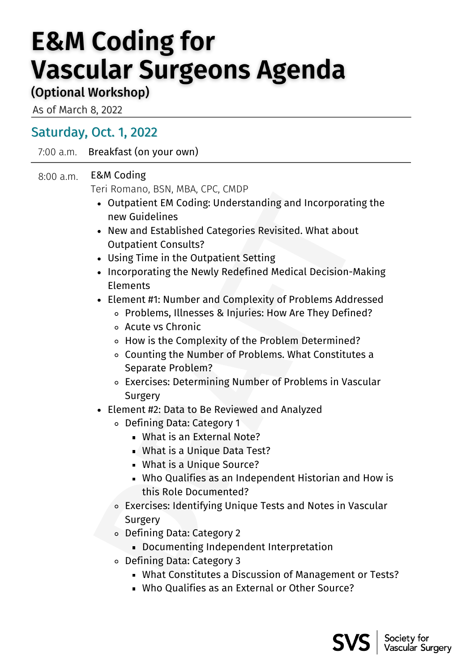## **E&M Coding for Vascular Surgeons Agenda**

## (Optional Workshop)

As of March 8, 2022

## Saturday, Oct. 1, 2022

7:00 a.m. Breakfast (on your own)

## 8:00 a.m. E&M Coding

Teri Romano, BSN, MBA, CPC, CMDP

- Outpatient EM Coding: Understanding and Incorporating the new Guidelines
- New and Established Categories Revisited. What about Outpatient Consults?
- Using Time in the Outpatient Setting
- •• Outpartient EM Coding: Understanding and Incorporating the<br>•• Outpartient EM Coding: Understanding and Incorporating the<br>•• New and Established Categories Revisited. What about<br>•• Outpartient Consults?<br>•• Using Time in • Incorporating the Newly Redefined Medical Decision-Making Elements
- Element #1: Number and Complexity of Problems Addressed
	- Problems, Illnesses & Injuries: How Are They Defined?
	- Acute vs Chronic
	- How is the Complexity of the Problem Determined?
	- Counting the Number of Problems. What Constitutes a Separate Problem?
	- Exercises: Determining Number of Problems in Vascular Surgery
- Element #2: Data to Be Reviewed and Analyzed
	- Defining Data: Category 1
		- What is an External Note?
		- What is a Unique Data Test?
		- What is a Unique Source?
		- Who Qualifies as an Independent Historian and How is this Role Documented?
	- Exercises: Identifying Unique Tests and Notes in Vascular Surgery
	- Defining Data: Category 2
		- Documenting Independent Interpretation
	- Defining Data: Category 3
		- What Constitutes a Discussion of Management or Tests?
		- Who Qualifies as an External or Other Source?